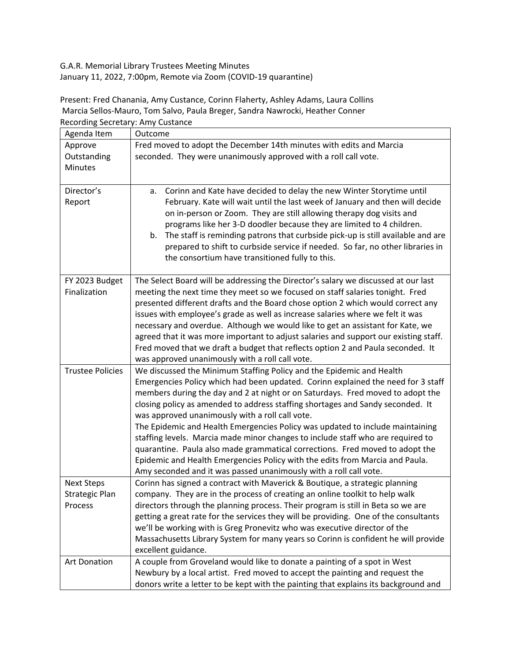## G.A.R. Memorial Library Trustees Meeting Minutes January 11, 2022, 7:00pm, Remote via Zoom (COVID-19 quarantine)

Present: Fred Chanania, Amy Custance, Corinn Flaherty, Ashley Adams, Laura Collins Marcia Sellos-Mauro, Tom Salvo, Paula Breger, Sandra Nawrocki, Heather Conner Recording Secretary: Amy Custance

| Agenda Item             | Outcome                                                                                                                                                          |
|-------------------------|------------------------------------------------------------------------------------------------------------------------------------------------------------------|
| Approve                 | Fred moved to adopt the December 14th minutes with edits and Marcia                                                                                              |
| Outstanding             | seconded. They were unanimously approved with a roll call vote.                                                                                                  |
| <b>Minutes</b>          |                                                                                                                                                                  |
|                         |                                                                                                                                                                  |
| Director's              | Corinn and Kate have decided to delay the new Winter Storytime until<br>а.                                                                                       |
| Report                  | February. Kate will wait until the last week of January and then will decide                                                                                     |
|                         | on in-person or Zoom. They are still allowing therapy dog visits and                                                                                             |
|                         | programs like her 3-D doodler because they are limited to 4 children.                                                                                            |
|                         | The staff is reminding patrons that curbside pick-up is still available and are<br>b.                                                                            |
|                         | prepared to shift to curbside service if needed. So far, no other libraries in                                                                                   |
|                         | the consortium have transitioned fully to this.                                                                                                                  |
|                         |                                                                                                                                                                  |
| FY 2023 Budget          | The Select Board will be addressing the Director's salary we discussed at our last                                                                               |
| Finalization            | meeting the next time they meet so we focused on staff salaries tonight. Fred                                                                                    |
|                         | presented different drafts and the Board chose option 2 which would correct any                                                                                  |
|                         | issues with employee's grade as well as increase salaries where we felt it was                                                                                   |
|                         | necessary and overdue. Although we would like to get an assistant for Kate, we                                                                                   |
|                         | agreed that it was more important to adjust salaries and support our existing staff.                                                                             |
|                         | Fred moved that we draft a budget that reflects option 2 and Paula seconded. It                                                                                  |
|                         | was approved unanimously with a roll call vote.                                                                                                                  |
| <b>Trustee Policies</b> | We discussed the Minimum Staffing Policy and the Epidemic and Health                                                                                             |
|                         | Emergencies Policy which had been updated. Corinn explained the need for 3 staff                                                                                 |
|                         | members during the day and 2 at night or on Saturdays. Fred moved to adopt the                                                                                   |
|                         | closing policy as amended to address staffing shortages and Sandy seconded. It                                                                                   |
|                         | was approved unanimously with a roll call vote.                                                                                                                  |
|                         | The Epidemic and Health Emergencies Policy was updated to include maintaining<br>staffing levels. Marcia made minor changes to include staff who are required to |
|                         | quarantine. Paula also made grammatical corrections. Fred moved to adopt the                                                                                     |
|                         | Epidemic and Health Emergencies Policy with the edits from Marcia and Paula.                                                                                     |
|                         | Amy seconded and it was passed unanimously with a roll call vote.                                                                                                |
| <b>Next Steps</b>       | Corinn has signed a contract with Maverick & Boutique, a strategic planning                                                                                      |
| <b>Strategic Plan</b>   | company. They are in the process of creating an online toolkit to help walk                                                                                      |
| Process                 | directors through the planning process. Their program is still in Beta so we are                                                                                 |
|                         | getting a great rate for the services they will be providing. One of the consultants                                                                             |
|                         | we'll be working with is Greg Pronevitz who was executive director of the                                                                                        |
|                         | Massachusetts Library System for many years so Corinn is confident he will provide                                                                               |
|                         | excellent guidance.                                                                                                                                              |
| <b>Art Donation</b>     | A couple from Groveland would like to donate a painting of a spot in West                                                                                        |
|                         | Newbury by a local artist. Fred moved to accept the painting and request the                                                                                     |
|                         | donors write a letter to be kept with the painting that explains its background and                                                                              |